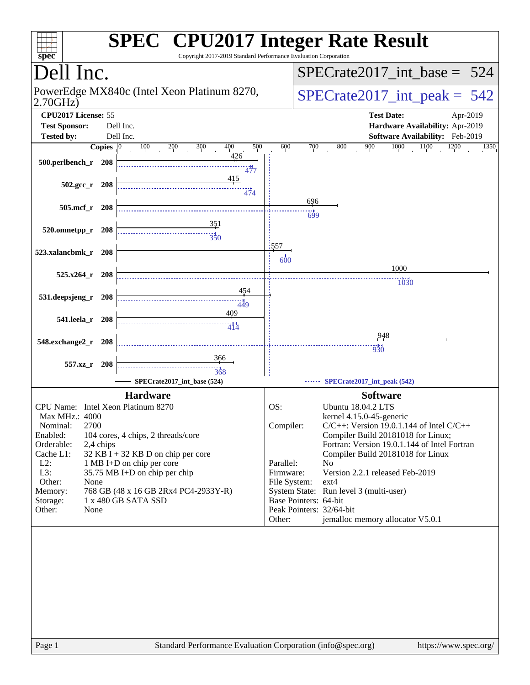| spec <sup>®</sup>                           |       | <b>SPEC<sup>®</sup> CPU2017 Integer Rate Result</b><br>Copyright 2017-2019 Standard Performance Evaluation Corporation |                           |     |                                                                                    |
|---------------------------------------------|-------|------------------------------------------------------------------------------------------------------------------------|---------------------------|-----|------------------------------------------------------------------------------------|
| Dell Inc.                                   |       |                                                                                                                        |                           |     | $SPECrate2017\_int\_base = 524$                                                    |
| 2.70GHz)                                    |       | PowerEdge MX840c (Intel Xeon Platinum 8270,                                                                            |                           |     | $SPECrate2017\_int\_peak = 542$                                                    |
| CPU2017 License: 55<br><b>Test Sponsor:</b> |       | Dell Inc.                                                                                                              |                           |     | <b>Test Date:</b><br>Apr-2019<br>Hardware Availability: Apr-2019                   |
| <b>Tested by:</b>                           |       | Dell Inc.                                                                                                              |                           |     | Software Availability: Feb-2019                                                    |
| Copies $ 0\rangle$                          |       | 100<br>300<br>400<br>500<br>200                                                                                        | 600                       | 700 | 1000<br>1100<br>900<br>1200<br>800<br>1350                                         |
| 500.perlbench_r 208                         |       | 426<br>ر<br>477                                                                                                        |                           |     |                                                                                    |
| $502.\text{gcc r}$ 208                      |       | 415<br>474                                                                                                             |                           |     |                                                                                    |
| $505$ .mcf_r<br>208                         |       |                                                                                                                        |                           | 696 |                                                                                    |
| 520.omnetpp_r 208                           |       | <u>351</u><br>$\frac{1}{350}$                                                                                          |                           | 699 |                                                                                    |
|                                             |       |                                                                                                                        | 557                       |     |                                                                                    |
| 523.xalancbmk_r 208                         |       |                                                                                                                        | 600                       |     |                                                                                    |
|                                             |       |                                                                                                                        |                           |     | 1000                                                                               |
| 525.x264 r<br>- 208                         |       |                                                                                                                        |                           |     | $\frac{1}{0}$                                                                      |
| 531.deepsjeng_r                             | 208   | 454                                                                                                                    |                           |     |                                                                                    |
|                                             |       | 449                                                                                                                    |                           |     |                                                                                    |
| 541.leela_r<br>- 208                        |       | 409                                                                                                                    |                           |     |                                                                                    |
|                                             |       | 414                                                                                                                    |                           |     | 948                                                                                |
| 548.exchange2_r                             | - 208 |                                                                                                                        |                           |     | 930                                                                                |
|                                             |       | 366                                                                                                                    |                           |     |                                                                                    |
| 557.xz_r 208                                |       | 368                                                                                                                    |                           |     |                                                                                    |
|                                             |       | SPECrate2017_int_base (524)                                                                                            |                           |     | SPECrate2017_int_peak (542)                                                        |
|                                             |       | <b>Hardware</b>                                                                                                        |                           |     | <b>Software</b>                                                                    |
| CPU Name: Intel Xeon Platinum 8270          |       |                                                                                                                        | OS:                       |     | <b>Ubuntu 18.04.2 LTS</b>                                                          |
| Max MHz.: 4000                              |       |                                                                                                                        |                           |     | kernel 4.15.0-45-generic                                                           |
| 2700<br>Nominal:                            |       |                                                                                                                        | Compiler:                 |     | $C/C++$ : Version 19.0.1.144 of Intel $C/C++$                                      |
| Enabled:<br>Orderable:<br>2,4 chips         |       | 104 cores, 4 chips, 2 threads/core                                                                                     |                           |     | Compiler Build 20181018 for Linux;<br>Fortran: Version 19.0.1.144 of Intel Fortran |
| Cache L1:                                   |       | 32 KB I + 32 KB D on chip per core                                                                                     |                           |     | Compiler Build 20181018 for Linux                                                  |
| $L2$ :                                      |       | 1 MB I+D on chip per core                                                                                              | Parallel:                 |     | No                                                                                 |
| L3:<br>Other:<br>None                       |       | 35.75 MB I+D on chip per chip                                                                                          | Firmware:<br>File System: |     | Version 2.2.1 released Feb-2019<br>$ext{4}$                                        |
| Memory:                                     |       | 768 GB (48 x 16 GB 2Rx4 PC4-2933Y-R)                                                                                   |                           |     | System State: Run level 3 (multi-user)                                             |
| Storage:                                    |       | 1 x 480 GB SATA SSD                                                                                                    | Base Pointers: 64-bit     |     |                                                                                    |
| Other:<br>None                              |       |                                                                                                                        |                           |     | Peak Pointers: 32/64-bit                                                           |
|                                             |       |                                                                                                                        | Other:                    |     | jemalloc memory allocator V5.0.1                                                   |
|                                             |       |                                                                                                                        |                           |     |                                                                                    |
|                                             |       |                                                                                                                        |                           |     |                                                                                    |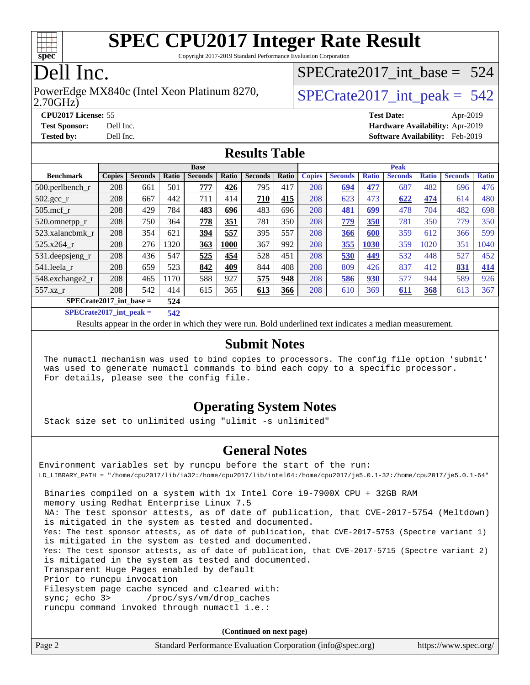

Copyright 2017-2019 Standard Performance Evaluation Corporation

### Dell Inc.

#### 2.70GHz) PowerEdge MX840c (Intel Xeon Platinum 8270,  $\vert$  [SPECrate2017\\_int\\_peak =](http://www.spec.org/auto/cpu2017/Docs/result-fields.html#SPECrate2017intpeak) 542

[SPECrate2017\\_int\\_base =](http://www.spec.org/auto/cpu2017/Docs/result-fields.html#SPECrate2017intbase) 524

**[CPU2017 License:](http://www.spec.org/auto/cpu2017/Docs/result-fields.html#CPU2017License)** 55 **[Test Date:](http://www.spec.org/auto/cpu2017/Docs/result-fields.html#TestDate)** Apr-2019 **[Test Sponsor:](http://www.spec.org/auto/cpu2017/Docs/result-fields.html#TestSponsor)** Dell Inc. **[Hardware Availability:](http://www.spec.org/auto/cpu2017/Docs/result-fields.html#HardwareAvailability)** Apr-2019 **[Tested by:](http://www.spec.org/auto/cpu2017/Docs/result-fields.html#Testedby)** Dell Inc. **[Software Availability:](http://www.spec.org/auto/cpu2017/Docs/result-fields.html#SoftwareAvailability)** Feb-2019

### **[Results Table](http://www.spec.org/auto/cpu2017/Docs/result-fields.html#ResultsTable)**

|                                    | <b>Base</b>   |                |       |                |       | <b>Peak</b>    |       |               |                |              |                |              |                |              |
|------------------------------------|---------------|----------------|-------|----------------|-------|----------------|-------|---------------|----------------|--------------|----------------|--------------|----------------|--------------|
| <b>Benchmark</b>                   | <b>Copies</b> | <b>Seconds</b> | Ratio | <b>Seconds</b> | Ratio | <b>Seconds</b> | Ratio | <b>Copies</b> | <b>Seconds</b> | <b>Ratio</b> | <b>Seconds</b> | <b>Ratio</b> | <b>Seconds</b> | <b>Ratio</b> |
| $500.$ perlbench_r                 | 208           | 661            | 501   | 777            | 426   | 795            | 417   | 208           | 694            | 477          | 687            | 482          | 696            | 476          |
| $502.\text{gcc}$ <sub>r</sub>      | 208           | 667            | 442   | 711            | 414   | 710            | 415   | 208           | 623            | 473          | 622            | 474          | 614            | 480          |
| $505$ .mcf r                       | 208           | 429            | 784   | 483            | 696   | 483            | 696   | 208           | 481            | 699          | 478            | 704          | 482            | 698          |
| 520.omnetpp_r                      | 208           | 750            | 364   | 778            | 351   | 781            | 350   | 208           | 779            | 350          | 781            | 350          | 779            | 350          |
| 523.xalancbmk r                    | 208           | 354            | 621   | 394            | 557   | 395            | 557   | 208           | 366            | 600          | 359            | 612          | 366            | 599          |
| 525.x264 r                         | 208           | 276            | 1320  | 363            | 1000  | 367            | 992   | 208           | 355            | 1030         | 359            | 1020         | 351            | 1040         |
| 531.deepsjeng_r                    | 208           | 436            | 547   | 525            | 454   | 528            | 451   | 208           | 530            | 449          | 532            | 448          | 527            | 452          |
| 541.leela r                        | 208           | 659            | 523   | 842            | 409   | 844            | 408   | 208           | 809            | 426          | 837            | 412          | 831            | 414          |
| 548.exchange2_r                    | 208           | 465            | 1170  | 588            | 927   | 575            | 948   | 208           | 586            | 930          | 577            | 944          | 589            | 926          |
| 557.xz r                           | 208           | 542            | 414   | 615            | 365   | 613            | 366   | 208           | 610            | 369          | 611            | <b>368</b>   | 613            | 367          |
| $SPECrate2017\_int\_base =$<br>524 |               |                |       |                |       |                |       |               |                |              |                |              |                |              |
| $CDDCA = 1.0047 + 1 = 1$           |               |                | - 48  |                |       |                |       |               |                |              |                |              |                |              |

**[SPECrate2017\\_int\\_peak =](http://www.spec.org/auto/cpu2017/Docs/result-fields.html#SPECrate2017intpeak) 542**

Results appear in the [order in which they were run](http://www.spec.org/auto/cpu2017/Docs/result-fields.html#RunOrder). Bold underlined text [indicates a median measurement](http://www.spec.org/auto/cpu2017/Docs/result-fields.html#Median).

#### **[Submit Notes](http://www.spec.org/auto/cpu2017/Docs/result-fields.html#SubmitNotes)**

 The numactl mechanism was used to bind copies to processors. The config file option 'submit' was used to generate numactl commands to bind each copy to a specific processor. For details, please see the config file.

### **[Operating System Notes](http://www.spec.org/auto/cpu2017/Docs/result-fields.html#OperatingSystemNotes)**

Stack size set to unlimited using "ulimit -s unlimited"

#### **[General Notes](http://www.spec.org/auto/cpu2017/Docs/result-fields.html#GeneralNotes)**

Environment variables set by runcpu before the start of the run: LD\_LIBRARY\_PATH = "/home/cpu2017/lib/ia32:/home/cpu2017/lib/intel64:/home/cpu2017/je5.0.1-32:/home/cpu2017/je5.0.1-64" Binaries compiled on a system with 1x Intel Core i9-7900X CPU + 32GB RAM memory using Redhat Enterprise Linux 7.5 NA: The test sponsor attests, as of date of publication, that CVE-2017-5754 (Meltdown) is mitigated in the system as tested and documented. Yes: The test sponsor attests, as of date of publication, that CVE-2017-5753 (Spectre variant 1) is mitigated in the system as tested and documented. Yes: The test sponsor attests, as of date of publication, that CVE-2017-5715 (Spectre variant 2) is mitigated in the system as tested and documented. Transparent Huge Pages enabled by default Prior to runcpu invocation Filesystem page cache synced and cleared with: sync; echo 3> /proc/sys/vm/drop\_caches runcpu command invoked through numactl i.e.:

**(Continued on next page)**

| Page 2 | Standard Performance Evaluation Corporation (info@spec.org) |  | https://www.spec.org/ |
|--------|-------------------------------------------------------------|--|-----------------------|
|--------|-------------------------------------------------------------|--|-----------------------|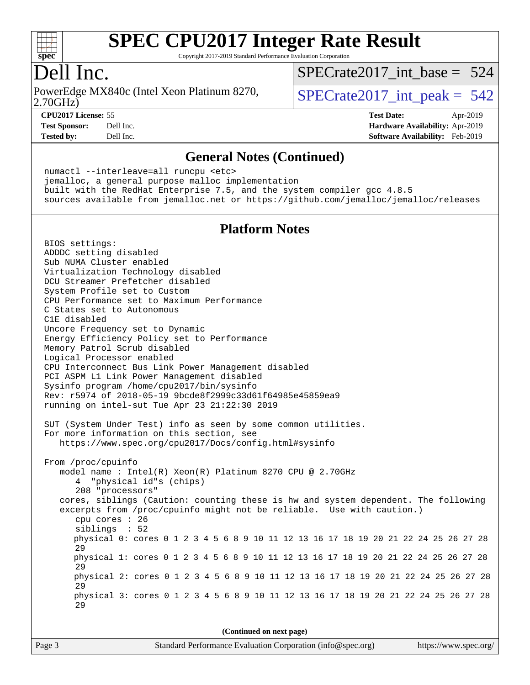

Copyright 2017-2019 Standard Performance Evaluation Corporation

### Dell Inc.

2.70GHz) PowerEdge MX840c (Intel Xeon Platinum 8270,  $\vert$  [SPECrate2017\\_int\\_peak =](http://www.spec.org/auto/cpu2017/Docs/result-fields.html#SPECrate2017intpeak) 542

[SPECrate2017\\_int\\_base =](http://www.spec.org/auto/cpu2017/Docs/result-fields.html#SPECrate2017intbase) 524

**[CPU2017 License:](http://www.spec.org/auto/cpu2017/Docs/result-fields.html#CPU2017License)** 55 **[Test Date:](http://www.spec.org/auto/cpu2017/Docs/result-fields.html#TestDate)** Apr-2019 **[Test Sponsor:](http://www.spec.org/auto/cpu2017/Docs/result-fields.html#TestSponsor)** Dell Inc. **[Hardware Availability:](http://www.spec.org/auto/cpu2017/Docs/result-fields.html#HardwareAvailability)** Apr-2019

**[Tested by:](http://www.spec.org/auto/cpu2017/Docs/result-fields.html#Testedby)** Dell Inc. **[Software Availability:](http://www.spec.org/auto/cpu2017/Docs/result-fields.html#SoftwareAvailability)** Feb-2019

#### **[General Notes \(Continued\)](http://www.spec.org/auto/cpu2017/Docs/result-fields.html#GeneralNotes)**

 numactl --interleave=all runcpu <etc> jemalloc, a general purpose malloc implementation built with the RedHat Enterprise 7.5, and the system compiler gcc 4.8.5 sources available from jemalloc.net or <https://github.com/jemalloc/jemalloc/releases>

#### **[Platform Notes](http://www.spec.org/auto/cpu2017/Docs/result-fields.html#PlatformNotes)**

 BIOS settings: ADDDC setting disabled Sub NUMA Cluster enabled Virtualization Technology disabled DCU Streamer Prefetcher disabled System Profile set to Custom CPU Performance set to Maximum Performance C States set to Autonomous C1E disabled Uncore Frequency set to Dynamic Energy Efficiency Policy set to Performance Memory Patrol Scrub disabled Logical Processor enabled CPU Interconnect Bus Link Power Management disabled PCI ASPM L1 Link Power Management disabled Sysinfo program /home/cpu2017/bin/sysinfo Rev: r5974 of 2018-05-19 9bcde8f2999c33d61f64985e45859ea9 running on intel-sut Tue Apr 23 21:22:30 2019 SUT (System Under Test) info as seen by some common utilities. For more information on this section, see <https://www.spec.org/cpu2017/Docs/config.html#sysinfo> From /proc/cpuinfo model name : Intel(R) Xeon(R) Platinum 8270 CPU @ 2.70GHz 4 "physical id"s (chips) 208 "processors" cores, siblings (Caution: counting these is hw and system dependent. The following excerpts from /proc/cpuinfo might not be reliable. Use with caution.) cpu cores : 26 siblings : 52 physical 0: cores 0 1 2 3 4 5 6 8 9 10 11 12 13 16 17 18 19 20 21 22 24 25 26 27 28 29 physical 1: cores 0 1 2 3 4 5 6 8 9 10 11 12 13 16 17 18 19 20 21 22 24 25 26 27 28 29 physical 2: cores 0 1 2 3 4 5 6 8 9 10 11 12 13 16 17 18 19 20 21 22 24 25 26 27 28 29 physical 3: cores 0 1 2 3 4 5 6 8 9 10 11 12 13 16 17 18 19 20 21 22 24 25 26 27 28 29

**(Continued on next page)**

| https://www.spec.org/ |  |
|-----------------------|--|
|                       |  |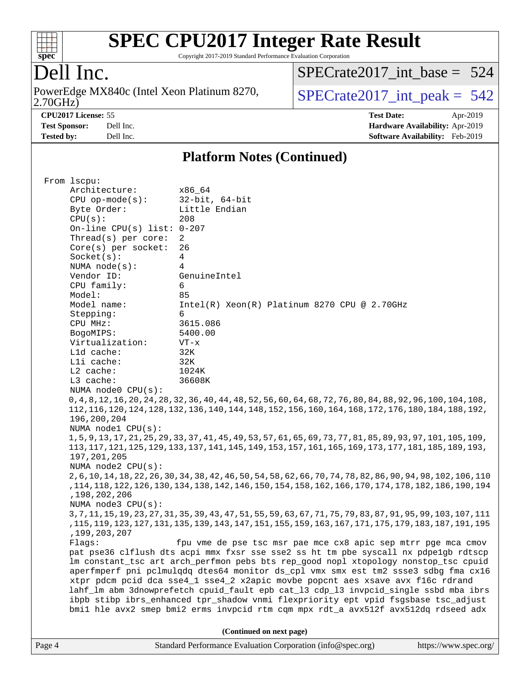

Copyright 2017-2019 Standard Performance Evaluation Corporation

### Dell Inc.

2.70GHz) PowerEdge MX840c (Intel Xeon Platinum 8270,  $\boxed{\text{SPECrate2017\_int\_peak = 542}}$ 

[SPECrate2017\\_int\\_base =](http://www.spec.org/auto/cpu2017/Docs/result-fields.html#SPECrate2017intbase) 524

**[CPU2017 License:](http://www.spec.org/auto/cpu2017/Docs/result-fields.html#CPU2017License)** 55 **[Test Date:](http://www.spec.org/auto/cpu2017/Docs/result-fields.html#TestDate)** Apr-2019 **[Test Sponsor:](http://www.spec.org/auto/cpu2017/Docs/result-fields.html#TestSponsor)** Dell Inc. **[Hardware Availability:](http://www.spec.org/auto/cpu2017/Docs/result-fields.html#HardwareAvailability)** Apr-2019 **[Tested by:](http://www.spec.org/auto/cpu2017/Docs/result-fields.html#Testedby)** Dell Inc. **[Software Availability:](http://www.spec.org/auto/cpu2017/Docs/result-fields.html#SoftwareAvailability)** Feb-2019

#### **[Platform Notes \(Continued\)](http://www.spec.org/auto/cpu2017/Docs/result-fields.html#PlatformNotes)**

| From 1scpu:                  |                                                                                                                 |  |  |  |  |  |
|------------------------------|-----------------------------------------------------------------------------------------------------------------|--|--|--|--|--|
| Architecture:                | x86 64                                                                                                          |  |  |  |  |  |
| $CPU$ op-mode( $s$ ):        | 32-bit, 64-bit                                                                                                  |  |  |  |  |  |
| Byte Order:                  | Little Endian                                                                                                   |  |  |  |  |  |
| CPU(s):                      | 208                                                                                                             |  |  |  |  |  |
| On-line CPU(s) list: $0-207$ |                                                                                                                 |  |  |  |  |  |
| Thread(s) per core:          | 2                                                                                                               |  |  |  |  |  |
| $Core(s)$ per socket:        | 26                                                                                                              |  |  |  |  |  |
| Socket(s):                   | $\overline{4}$                                                                                                  |  |  |  |  |  |
| NUMA $node(s):$              | 4                                                                                                               |  |  |  |  |  |
| Vendor ID:                   | GenuineIntel                                                                                                    |  |  |  |  |  |
| CPU family:                  | 6                                                                                                               |  |  |  |  |  |
| Model:                       | 85                                                                                                              |  |  |  |  |  |
| Model name:                  | Intel(R) Xeon(R) Platinum 8270 CPU @ 2.70GHz                                                                    |  |  |  |  |  |
| Stepping:                    | 6                                                                                                               |  |  |  |  |  |
| CPU MHz:                     | 3615.086                                                                                                        |  |  |  |  |  |
| BogoMIPS:                    | 5400.00                                                                                                         |  |  |  |  |  |
| Virtualization:              | $VT - x$                                                                                                        |  |  |  |  |  |
| L1d cache:                   | 32K                                                                                                             |  |  |  |  |  |
| Lli cache:                   | 32K                                                                                                             |  |  |  |  |  |
| L2 cache:                    | 1024K                                                                                                           |  |  |  |  |  |
| L3 cache:                    | 36608K                                                                                                          |  |  |  |  |  |
| NUMA node0 CPU(s):           |                                                                                                                 |  |  |  |  |  |
|                              | 0, 4, 8, 12, 16, 20, 24, 28, 32, 36, 40, 44, 48, 52, 56, 60, 64, 68, 72, 76, 80, 84, 88, 92, 96, 100, 104, 108, |  |  |  |  |  |
|                              | 112, 116, 120, 124, 128, 132, 136, 140, 144, 148, 152, 156, 160, 164, 168, 172, 176, 180, 184, 188, 192,        |  |  |  |  |  |
| 196,200,204                  |                                                                                                                 |  |  |  |  |  |
| NUMA node1 CPU(s):           |                                                                                                                 |  |  |  |  |  |
|                              | 1,5,9,13,17,21,25,29,33,37,41,45,49,53,57,61,65,69,73,77,81,85,89,93,97,101,105,109,                            |  |  |  |  |  |
|                              | 113, 117, 121, 125, 129, 133, 137, 141, 145, 149, 153, 157, 161, 165, 169, 173, 177, 181, 185, 189, 193,        |  |  |  |  |  |
| 197, 201, 205                |                                                                                                                 |  |  |  |  |  |
| NUMA node2 CPU(s):           |                                                                                                                 |  |  |  |  |  |
|                              | 2, 6, 10, 14, 18, 22, 26, 30, 34, 38, 42, 46, 50, 54, 58, 62, 66, 70, 74, 78, 82, 86, 90, 94, 98, 102, 106, 110 |  |  |  |  |  |
|                              | , 114, 118, 186, 186, 178, 174, 170, 174, 166, 168, 154, 154, 150, 146, 147, 178, 187, 187, 187, 187, 187, 118  |  |  |  |  |  |
| , 198, 202, 206              |                                                                                                                 |  |  |  |  |  |
| NUMA node3 CPU(s):           |                                                                                                                 |  |  |  |  |  |
|                              | 3, 7, 11, 15, 19, 23, 27, 31, 35, 39, 43, 47, 51, 55, 59, 63, 67, 71, 75, 79, 83, 87, 91, 95, 99, 103, 107, 111 |  |  |  |  |  |
| , 199, 203, 207              | ,115, 127, 183, 187, 179, 177, 177, 167, 169, 159, 155, 157, 147, 143, 149, 159, 159, 159, 169, 179, 179, 179   |  |  |  |  |  |
| Flags:                       | fpu vme de pse tsc msr pae mce cx8 apic sep mtrr pge mca cmov                                                   |  |  |  |  |  |
|                              | pat pse36 clflush dts acpi mmx fxsr sse sse2 ss ht tm pbe syscall nx pdpe1qb rdtscp                             |  |  |  |  |  |
|                              | lm constant_tsc art arch_perfmon pebs bts rep_good nopl xtopology nonstop_tsc cpuid                             |  |  |  |  |  |
|                              | aperfmperf pni pclmulqdq dtes64 monitor ds_cpl vmx smx est tm2 ssse3 sdbg fma cx16                              |  |  |  |  |  |
|                              | xtpr pdcm pcid dca sse4_1 sse4_2 x2apic movbe popcnt aes xsave avx f16c rdrand                                  |  |  |  |  |  |
|                              | lahf_lm abm 3dnowprefetch cpuid_fault epb cat_13 cdp_13 invpcid_single ssbd mba ibrs                            |  |  |  |  |  |
|                              | ibpb stibp ibrs_enhanced tpr_shadow vnmi flexpriority ept vpid fsgsbase tsc_adjust                              |  |  |  |  |  |
|                              | bmil hle avx2 smep bmi2 erms invpcid rtm cqm mpx rdt_a avx512f avx512dq rdseed adx                              |  |  |  |  |  |
|                              |                                                                                                                 |  |  |  |  |  |
|                              | (Continued on next page)                                                                                        |  |  |  |  |  |

Page 4 Standard Performance Evaluation Corporation [\(info@spec.org\)](mailto:info@spec.org) <https://www.spec.org/>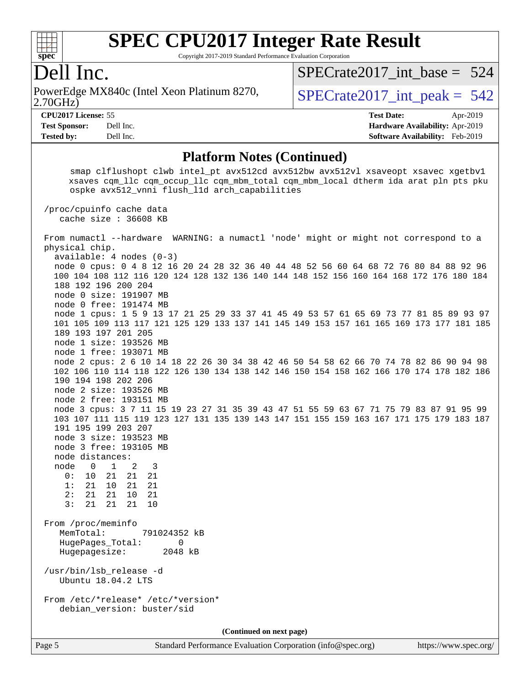

Copyright 2017-2019 Standard Performance Evaluation Corporation

### Dell Inc.

2.70GHz) PowerEdge MX840c (Intel Xeon Platinum 8270,  $\vert$  [SPECrate2017\\_int\\_peak =](http://www.spec.org/auto/cpu2017/Docs/result-fields.html#SPECrate2017intpeak) 542

[SPECrate2017\\_int\\_base =](http://www.spec.org/auto/cpu2017/Docs/result-fields.html#SPECrate2017intbase) 524

**[CPU2017 License:](http://www.spec.org/auto/cpu2017/Docs/result-fields.html#CPU2017License)** 55 **[Test Date:](http://www.spec.org/auto/cpu2017/Docs/result-fields.html#TestDate)** Apr-2019 **[Test Sponsor:](http://www.spec.org/auto/cpu2017/Docs/result-fields.html#TestSponsor)** Dell Inc. **[Hardware Availability:](http://www.spec.org/auto/cpu2017/Docs/result-fields.html#HardwareAvailability)** Apr-2019 **[Tested by:](http://www.spec.org/auto/cpu2017/Docs/result-fields.html#Testedby)** Dell Inc. **[Software Availability:](http://www.spec.org/auto/cpu2017/Docs/result-fields.html#SoftwareAvailability)** Feb-2019

#### **[Platform Notes \(Continued\)](http://www.spec.org/auto/cpu2017/Docs/result-fields.html#PlatformNotes)**

smap clflushopt clwb intel pt avx512cd avx512bw avx512vl xsaveopt xsavec xgetbv1 xsaves cqm\_llc cqm\_occup\_llc cqm\_mbm\_total cqm\_mbm\_local dtherm ida arat pln pts pku ospke avx512\_vnni flush\_l1d arch\_capabilities

 /proc/cpuinfo cache data cache size : 36608 KB

 From numactl --hardware WARNING: a numactl 'node' might or might not correspond to a physical chip. available: 4 nodes (0-3) node 0 cpus: 0 4 8 12 16 20 24 28 32 36 40 44 48 52 56 60 64 68 72 76 80 84 88 92 96 100 104 108 112 116 120 124 128 132 136 140 144 148 152 156 160 164 168 172 176 180 184 188 192 196 200 204 node 0 size: 191907 MB node 0 free: 191474 MB node 1 cpus: 1 5 9 13 17 21 25 29 33 37 41 45 49 53 57 61 65 69 73 77 81 85 89 93 97 101 105 109 113 117 121 125 129 133 137 141 145 149 153 157 161 165 169 173 177 181 185 189 193 197 201 205 node 1 size: 193526 MB node 1 free: 193071 MB node 2 cpus: 2 6 10 14 18 22 26 30 34 38 42 46 50 54 58 62 66 70 74 78 82 86 90 94 98 102 106 110 114 118 122 126 130 134 138 142 146 150 154 158 162 166 170 174 178 182 186 190 194 198 202 206 node 2 size: 193526 MB node 2 free: 193151 MB node 3 cpus: 3 7 11 15 19 23 27 31 35 39 43 47 51 55 59 63 67 71 75 79 83 87 91 95 99 103 107 111 115 119 123 127 131 135 139 143 147 151 155 159 163 167 171 175 179 183 187 191 195 199 203 207 node 3 size: 193523 MB node 3 free: 193105 MB node distances: node 0 1 2 3 0: 10 21 21 21 1: 21 10 21 21 2: 21 21 10 21 3: 21 21 21 10 From /proc/meminfo MemTotal: 791024352 kB HugePages\_Total: 0 Hugepagesize: 2048 kB /usr/bin/lsb\_release -d Ubuntu 18.04.2 LTS From /etc/\*release\* /etc/\*version\* debian\_version: buster/sid **(Continued on next page)**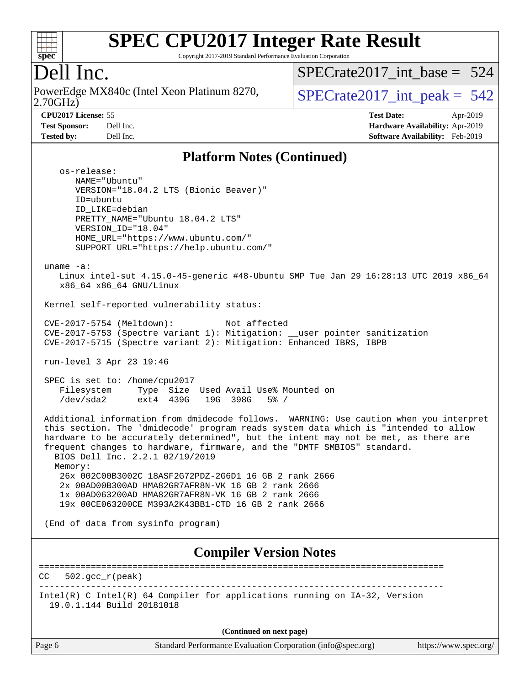

Copyright 2017-2019 Standard Performance Evaluation Corporation

### Dell Inc.

2.70GHz) PowerEdge MX840c (Intel Xeon Platinum 8270,  $\vert$  [SPECrate2017\\_int\\_peak =](http://www.spec.org/auto/cpu2017/Docs/result-fields.html#SPECrate2017intpeak) 542

[SPECrate2017\\_int\\_base =](http://www.spec.org/auto/cpu2017/Docs/result-fields.html#SPECrate2017intbase) 524

**[CPU2017 License:](http://www.spec.org/auto/cpu2017/Docs/result-fields.html#CPU2017License)** 55 **[Test Date:](http://www.spec.org/auto/cpu2017/Docs/result-fields.html#TestDate)** Apr-2019 **[Test Sponsor:](http://www.spec.org/auto/cpu2017/Docs/result-fields.html#TestSponsor)** Dell Inc. **[Hardware Availability:](http://www.spec.org/auto/cpu2017/Docs/result-fields.html#HardwareAvailability)** Apr-2019 **[Tested by:](http://www.spec.org/auto/cpu2017/Docs/result-fields.html#Testedby)** Dell Inc. **[Software Availability:](http://www.spec.org/auto/cpu2017/Docs/result-fields.html#SoftwareAvailability)** Feb-2019

#### **[Platform Notes \(Continued\)](http://www.spec.org/auto/cpu2017/Docs/result-fields.html#PlatformNotes)**

 os-release: NAME="Ubuntu" VERSION="18.04.2 LTS (Bionic Beaver)" ID=ubuntu ID\_LIKE=debian PRETTY\_NAME="Ubuntu 18.04.2 LTS" VERSION\_ID="18.04" HOME\_URL="<https://www.ubuntu.com/"> SUPPORT\_URL="<https://help.ubuntu.com/"> uname -a: Linux intel-sut 4.15.0-45-generic #48-Ubuntu SMP Tue Jan 29 16:28:13 UTC 2019 x86\_64 x86\_64 x86\_64 GNU/Linux Kernel self-reported vulnerability status: CVE-2017-5754 (Meltdown): Not affected CVE-2017-5753 (Spectre variant 1): Mitigation: \_\_user pointer sanitization CVE-2017-5715 (Spectre variant 2): Mitigation: Enhanced IBRS, IBPB run-level 3 Apr 23 19:46 SPEC is set to: /home/cpu2017 Filesystem Type Size Used Avail Use% Mounted on<br>
/dev/sda2 ext4 439G 19G 398G 5% / /dev/sda2 ext4 439G 19G 398G 5% / Additional information from dmidecode follows. WARNING: Use caution when you interpret this section. The 'dmidecode' program reads system data which is "intended to allow hardware to be accurately determined", but the intent may not be met, as there are frequent changes to hardware, firmware, and the "DMTF SMBIOS" standard. BIOS Dell Inc. 2.2.1 02/19/2019 Memory: 26x 002C00B3002C 18ASF2G72PDZ-2G6D1 16 GB 2 rank 2666 2x 00AD00B300AD HMA82GR7AFR8N-VK 16 GB 2 rank 2666 1x 00AD063200AD HMA82GR7AFR8N-VK 16 GB 2 rank 2666 19x 00CE063200CE M393A2K43BB1-CTD 16 GB 2 rank 2666 (End of data from sysinfo program) **[Compiler Version Notes](http://www.spec.org/auto/cpu2017/Docs/result-fields.html#CompilerVersionNotes)** ==============================================================================  $CC = 502 \text{ qcc r (peak)}$ ------------------------------------------------------------------------------

Intel(R) C Intel(R) 64 Compiler for applications running on IA-32, Version 19.0.1.144 Build 20181018

**(Continued on next page)**

Page 6 Standard Performance Evaluation Corporation [\(info@spec.org\)](mailto:info@spec.org) <https://www.spec.org/>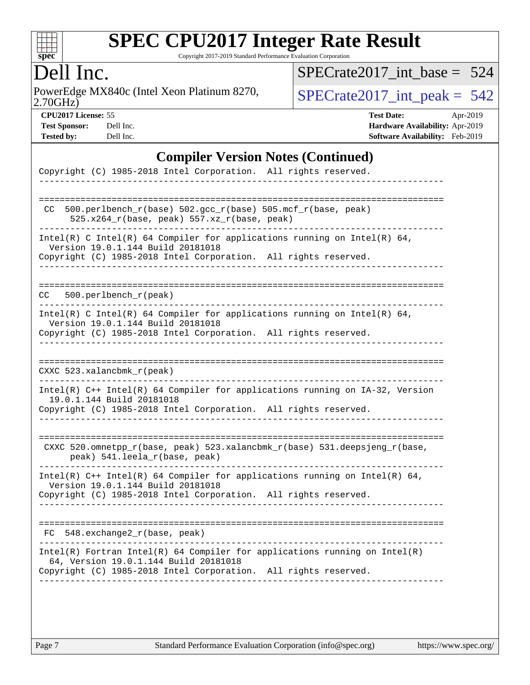

Copyright 2017-2019 Standard Performance Evaluation Corporation

### Dell Inc.

2.70GHz) PowerEdge MX840c (Intel Xeon Platinum 8270,  $\boxed{\text{SPECrate2017\_int\_peak = 542}}$ 

[SPECrate2017\\_int\\_base =](http://www.spec.org/auto/cpu2017/Docs/result-fields.html#SPECrate2017intbase) 524

**[CPU2017 License:](http://www.spec.org/auto/cpu2017/Docs/result-fields.html#CPU2017License)** 55 **[Test Date:](http://www.spec.org/auto/cpu2017/Docs/result-fields.html#TestDate)** Apr-2019 **[Test Sponsor:](http://www.spec.org/auto/cpu2017/Docs/result-fields.html#TestSponsor)** Dell Inc. **[Hardware Availability:](http://www.spec.org/auto/cpu2017/Docs/result-fields.html#HardwareAvailability)** Apr-2019 **[Tested by:](http://www.spec.org/auto/cpu2017/Docs/result-fields.html#Testedby)** Dell Inc. **[Software Availability:](http://www.spec.org/auto/cpu2017/Docs/result-fields.html#SoftwareAvailability)** Feb-2019

### **[Compiler Version Notes \(Continued\)](http://www.spec.org/auto/cpu2017/Docs/result-fields.html#CompilerVersionNotes)**

| Copyright (C) 1985-2018 Intel Corporation. All rights reserved.                                                                                                                          |
|------------------------------------------------------------------------------------------------------------------------------------------------------------------------------------------|
|                                                                                                                                                                                          |
| 500.perlbench_r(base) 502.gcc_r(base) 505.mcf_r(base, peak)<br>CC.<br>525.x264_r(base, peak) 557.xz_r(base, peak)                                                                        |
| Intel(R) C Intel(R) 64 Compiler for applications running on Intel(R) 64,<br>Version 19.0.1.144 Build 20181018<br>Copyright (C) 1985-2018 Intel Corporation. All rights reserved.         |
| $500.$ perlbench $r$ (peak)<br>CC                                                                                                                                                        |
| Intel(R) C Intel(R) 64 Compiler for applications running on Intel(R) 64,<br>Version 19.0.1.144 Build 20181018<br>Copyright (C) 1985-2018 Intel Corporation. All rights reserved.         |
| CXXC 523.xalancbmk_r(peak)                                                                                                                                                               |
| Intel(R) C++ Intel(R) 64 Compiler for applications running on IA-32, Version<br>19.0.1.144 Build 20181018<br>Copyright (C) 1985-2018 Intel Corporation. All rights reserved.             |
| CXXC 520.omnetpp_r(base, peak) 523.xalancbmk_r(base) 531.deepsjeng_r(base,<br>peak) 541.leela_r(base, peak)                                                                              |
| Intel(R) $C++$ Intel(R) 64 Compiler for applications running on Intel(R) 64,<br>Version 19.0.1.144 Build 20181018<br>Copyright (C) 1985-2018 Intel Corporation. All rights reserved.     |
| . _ _ _ _ _ _ _ _ _ _ _ _ _ _ _ _ _<br>548.exchange2_r(base, peak)<br>FC                                                                                                                 |
| $Intel(R)$ Fortran Intel(R) 64 Compiler for applications running on Intel(R)<br>64, Version 19.0.1.144 Build 20181018<br>Copyright (C) 1985-2018 Intel Corporation. All rights reserved. |
|                                                                                                                                                                                          |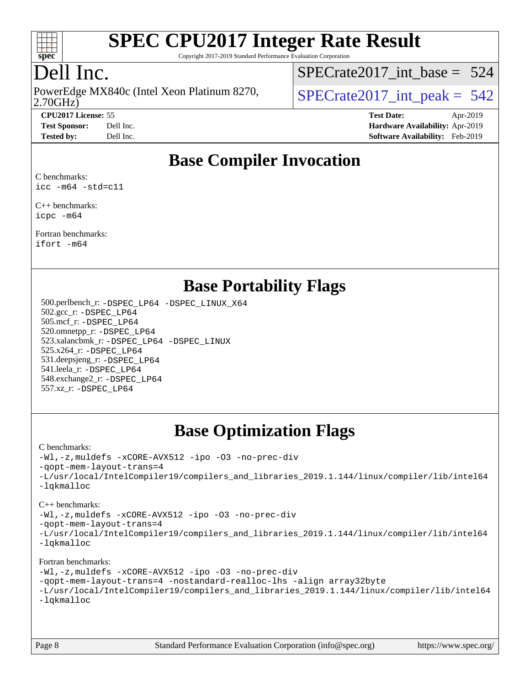

Copyright 2017-2019 Standard Performance Evaluation Corporation

## Dell Inc.

2.70GHz) PowerEdge MX840c (Intel Xeon Platinum 8270,  $\vert$  [SPECrate2017\\_int\\_peak =](http://www.spec.org/auto/cpu2017/Docs/result-fields.html#SPECrate2017intpeak) 542

[SPECrate2017\\_int\\_base =](http://www.spec.org/auto/cpu2017/Docs/result-fields.html#SPECrate2017intbase) 524

**[CPU2017 License:](http://www.spec.org/auto/cpu2017/Docs/result-fields.html#CPU2017License)** 55 **[Test Date:](http://www.spec.org/auto/cpu2017/Docs/result-fields.html#TestDate)** Apr-2019 **[Test Sponsor:](http://www.spec.org/auto/cpu2017/Docs/result-fields.html#TestSponsor)** Dell Inc. **[Hardware Availability:](http://www.spec.org/auto/cpu2017/Docs/result-fields.html#HardwareAvailability)** Apr-2019 **[Tested by:](http://www.spec.org/auto/cpu2017/Docs/result-fields.html#Testedby)** Dell Inc. **[Software Availability:](http://www.spec.org/auto/cpu2017/Docs/result-fields.html#SoftwareAvailability)** Feb-2019

### **[Base Compiler Invocation](http://www.spec.org/auto/cpu2017/Docs/result-fields.html#BaseCompilerInvocation)**

[C benchmarks](http://www.spec.org/auto/cpu2017/Docs/result-fields.html#Cbenchmarks): [icc -m64 -std=c11](http://www.spec.org/cpu2017/results/res2019q3/cpu2017-20190624-15376.flags.html#user_CCbase_intel_icc_64bit_c11_33ee0cdaae7deeeab2a9725423ba97205ce30f63b9926c2519791662299b76a0318f32ddfffdc46587804de3178b4f9328c46fa7c2b0cd779d7a61945c91cd35)

[C++ benchmarks:](http://www.spec.org/auto/cpu2017/Docs/result-fields.html#CXXbenchmarks) [icpc -m64](http://www.spec.org/cpu2017/results/res2019q3/cpu2017-20190624-15376.flags.html#user_CXXbase_intel_icpc_64bit_4ecb2543ae3f1412ef961e0650ca070fec7b7afdcd6ed48761b84423119d1bf6bdf5cad15b44d48e7256388bc77273b966e5eb805aefd121eb22e9299b2ec9d9)

[Fortran benchmarks](http://www.spec.org/auto/cpu2017/Docs/result-fields.html#Fortranbenchmarks): [ifort -m64](http://www.spec.org/cpu2017/results/res2019q3/cpu2017-20190624-15376.flags.html#user_FCbase_intel_ifort_64bit_24f2bb282fbaeffd6157abe4f878425411749daecae9a33200eee2bee2fe76f3b89351d69a8130dd5949958ce389cf37ff59a95e7a40d588e8d3a57e0c3fd751)

### **[Base Portability Flags](http://www.spec.org/auto/cpu2017/Docs/result-fields.html#BasePortabilityFlags)**

 500.perlbench\_r: [-DSPEC\\_LP64](http://www.spec.org/cpu2017/results/res2019q3/cpu2017-20190624-15376.flags.html#b500.perlbench_r_basePORTABILITY_DSPEC_LP64) [-DSPEC\\_LINUX\\_X64](http://www.spec.org/cpu2017/results/res2019q3/cpu2017-20190624-15376.flags.html#b500.perlbench_r_baseCPORTABILITY_DSPEC_LINUX_X64) 502.gcc\_r: [-DSPEC\\_LP64](http://www.spec.org/cpu2017/results/res2019q3/cpu2017-20190624-15376.flags.html#suite_basePORTABILITY502_gcc_r_DSPEC_LP64) 505.mcf\_r: [-DSPEC\\_LP64](http://www.spec.org/cpu2017/results/res2019q3/cpu2017-20190624-15376.flags.html#suite_basePORTABILITY505_mcf_r_DSPEC_LP64) 520.omnetpp\_r: [-DSPEC\\_LP64](http://www.spec.org/cpu2017/results/res2019q3/cpu2017-20190624-15376.flags.html#suite_basePORTABILITY520_omnetpp_r_DSPEC_LP64) 523.xalancbmk\_r: [-DSPEC\\_LP64](http://www.spec.org/cpu2017/results/res2019q3/cpu2017-20190624-15376.flags.html#suite_basePORTABILITY523_xalancbmk_r_DSPEC_LP64) [-DSPEC\\_LINUX](http://www.spec.org/cpu2017/results/res2019q3/cpu2017-20190624-15376.flags.html#b523.xalancbmk_r_baseCXXPORTABILITY_DSPEC_LINUX) 525.x264\_r: [-DSPEC\\_LP64](http://www.spec.org/cpu2017/results/res2019q3/cpu2017-20190624-15376.flags.html#suite_basePORTABILITY525_x264_r_DSPEC_LP64) 531.deepsjeng\_r: [-DSPEC\\_LP64](http://www.spec.org/cpu2017/results/res2019q3/cpu2017-20190624-15376.flags.html#suite_basePORTABILITY531_deepsjeng_r_DSPEC_LP64) 541.leela\_r: [-DSPEC\\_LP64](http://www.spec.org/cpu2017/results/res2019q3/cpu2017-20190624-15376.flags.html#suite_basePORTABILITY541_leela_r_DSPEC_LP64) 548.exchange2\_r: [-DSPEC\\_LP64](http://www.spec.org/cpu2017/results/res2019q3/cpu2017-20190624-15376.flags.html#suite_basePORTABILITY548_exchange2_r_DSPEC_LP64) 557.xz\_r: [-DSPEC\\_LP64](http://www.spec.org/cpu2017/results/res2019q3/cpu2017-20190624-15376.flags.html#suite_basePORTABILITY557_xz_r_DSPEC_LP64)

### **[Base Optimization Flags](http://www.spec.org/auto/cpu2017/Docs/result-fields.html#BaseOptimizationFlags)**

#### [C benchmarks](http://www.spec.org/auto/cpu2017/Docs/result-fields.html#Cbenchmarks):

[-Wl,-z,muldefs](http://www.spec.org/cpu2017/results/res2019q3/cpu2017-20190624-15376.flags.html#user_CCbase_link_force_multiple1_b4cbdb97b34bdee9ceefcfe54f4c8ea74255f0b02a4b23e853cdb0e18eb4525ac79b5a88067c842dd0ee6996c24547a27a4b99331201badda8798ef8a743f577) [-xCORE-AVX512](http://www.spec.org/cpu2017/results/res2019q3/cpu2017-20190624-15376.flags.html#user_CCbase_f-xCORE-AVX512) [-ipo](http://www.spec.org/cpu2017/results/res2019q3/cpu2017-20190624-15376.flags.html#user_CCbase_f-ipo) [-O3](http://www.spec.org/cpu2017/results/res2019q3/cpu2017-20190624-15376.flags.html#user_CCbase_f-O3) [-no-prec-div](http://www.spec.org/cpu2017/results/res2019q3/cpu2017-20190624-15376.flags.html#user_CCbase_f-no-prec-div) [-qopt-mem-layout-trans=4](http://www.spec.org/cpu2017/results/res2019q3/cpu2017-20190624-15376.flags.html#user_CCbase_f-qopt-mem-layout-trans_fa39e755916c150a61361b7846f310bcdf6f04e385ef281cadf3647acec3f0ae266d1a1d22d972a7087a248fd4e6ca390a3634700869573d231a252c784941a8) [-L/usr/local/IntelCompiler19/compilers\\_and\\_libraries\\_2019.1.144/linux/compiler/lib/intel64](http://www.spec.org/cpu2017/results/res2019q3/cpu2017-20190624-15376.flags.html#user_CCbase_qkmalloc_link_f25da0aa8cf9bced0533715046f0c2fbfb1a7191e3e496916672e09b4c388a884c4c7e4862cb529343da2264b43416df65c99fd1ddbf5dd13ae6d3130cf47881) [-lqkmalloc](http://www.spec.org/cpu2017/results/res2019q3/cpu2017-20190624-15376.flags.html#user_CCbase_qkmalloc_link_lib_79a818439969f771c6bc311cfd333c00fc099dad35c030f5aab9dda831713d2015205805422f83de8875488a2991c0a156aaa600e1f9138f8fc37004abc96dc5)

#### [C++ benchmarks](http://www.spec.org/auto/cpu2017/Docs/result-fields.html#CXXbenchmarks):

[-Wl,-z,muldefs](http://www.spec.org/cpu2017/results/res2019q3/cpu2017-20190624-15376.flags.html#user_CXXbase_link_force_multiple1_b4cbdb97b34bdee9ceefcfe54f4c8ea74255f0b02a4b23e853cdb0e18eb4525ac79b5a88067c842dd0ee6996c24547a27a4b99331201badda8798ef8a743f577) [-xCORE-AVX512](http://www.spec.org/cpu2017/results/res2019q3/cpu2017-20190624-15376.flags.html#user_CXXbase_f-xCORE-AVX512) [-ipo](http://www.spec.org/cpu2017/results/res2019q3/cpu2017-20190624-15376.flags.html#user_CXXbase_f-ipo) [-O3](http://www.spec.org/cpu2017/results/res2019q3/cpu2017-20190624-15376.flags.html#user_CXXbase_f-O3) [-no-prec-div](http://www.spec.org/cpu2017/results/res2019q3/cpu2017-20190624-15376.flags.html#user_CXXbase_f-no-prec-div)

[-qopt-mem-layout-trans=4](http://www.spec.org/cpu2017/results/res2019q3/cpu2017-20190624-15376.flags.html#user_CXXbase_f-qopt-mem-layout-trans_fa39e755916c150a61361b7846f310bcdf6f04e385ef281cadf3647acec3f0ae266d1a1d22d972a7087a248fd4e6ca390a3634700869573d231a252c784941a8)

[-L/usr/local/IntelCompiler19/compilers\\_and\\_libraries\\_2019.1.144/linux/compiler/lib/intel64](http://www.spec.org/cpu2017/results/res2019q3/cpu2017-20190624-15376.flags.html#user_CXXbase_qkmalloc_link_f25da0aa8cf9bced0533715046f0c2fbfb1a7191e3e496916672e09b4c388a884c4c7e4862cb529343da2264b43416df65c99fd1ddbf5dd13ae6d3130cf47881) [-lqkmalloc](http://www.spec.org/cpu2017/results/res2019q3/cpu2017-20190624-15376.flags.html#user_CXXbase_qkmalloc_link_lib_79a818439969f771c6bc311cfd333c00fc099dad35c030f5aab9dda831713d2015205805422f83de8875488a2991c0a156aaa600e1f9138f8fc37004abc96dc5)

#### [Fortran benchmarks](http://www.spec.org/auto/cpu2017/Docs/result-fields.html#Fortranbenchmarks):

[-Wl,-z,muldefs](http://www.spec.org/cpu2017/results/res2019q3/cpu2017-20190624-15376.flags.html#user_FCbase_link_force_multiple1_b4cbdb97b34bdee9ceefcfe54f4c8ea74255f0b02a4b23e853cdb0e18eb4525ac79b5a88067c842dd0ee6996c24547a27a4b99331201badda8798ef8a743f577) [-xCORE-AVX512](http://www.spec.org/cpu2017/results/res2019q3/cpu2017-20190624-15376.flags.html#user_FCbase_f-xCORE-AVX512) [-ipo](http://www.spec.org/cpu2017/results/res2019q3/cpu2017-20190624-15376.flags.html#user_FCbase_f-ipo) [-O3](http://www.spec.org/cpu2017/results/res2019q3/cpu2017-20190624-15376.flags.html#user_FCbase_f-O3) [-no-prec-div](http://www.spec.org/cpu2017/results/res2019q3/cpu2017-20190624-15376.flags.html#user_FCbase_f-no-prec-div) [-qopt-mem-layout-trans=4](http://www.spec.org/cpu2017/results/res2019q3/cpu2017-20190624-15376.flags.html#user_FCbase_f-qopt-mem-layout-trans_fa39e755916c150a61361b7846f310bcdf6f04e385ef281cadf3647acec3f0ae266d1a1d22d972a7087a248fd4e6ca390a3634700869573d231a252c784941a8) [-nostandard-realloc-lhs](http://www.spec.org/cpu2017/results/res2019q3/cpu2017-20190624-15376.flags.html#user_FCbase_f_2003_std_realloc_82b4557e90729c0f113870c07e44d33d6f5a304b4f63d4c15d2d0f1fab99f5daaed73bdb9275d9ae411527f28b936061aa8b9c8f2d63842963b95c9dd6426b8a) [-align array32byte](http://www.spec.org/cpu2017/results/res2019q3/cpu2017-20190624-15376.flags.html#user_FCbase_align_array32byte_b982fe038af199962ba9a80c053b8342c548c85b40b8e86eb3cc33dee0d7986a4af373ac2d51c3f7cf710a18d62fdce2948f201cd044323541f22fc0fffc51b6) [-L/usr/local/IntelCompiler19/compilers\\_and\\_libraries\\_2019.1.144/linux/compiler/lib/intel64](http://www.spec.org/cpu2017/results/res2019q3/cpu2017-20190624-15376.flags.html#user_FCbase_qkmalloc_link_f25da0aa8cf9bced0533715046f0c2fbfb1a7191e3e496916672e09b4c388a884c4c7e4862cb529343da2264b43416df65c99fd1ddbf5dd13ae6d3130cf47881) [-lqkmalloc](http://www.spec.org/cpu2017/results/res2019q3/cpu2017-20190624-15376.flags.html#user_FCbase_qkmalloc_link_lib_79a818439969f771c6bc311cfd333c00fc099dad35c030f5aab9dda831713d2015205805422f83de8875488a2991c0a156aaa600e1f9138f8fc37004abc96dc5)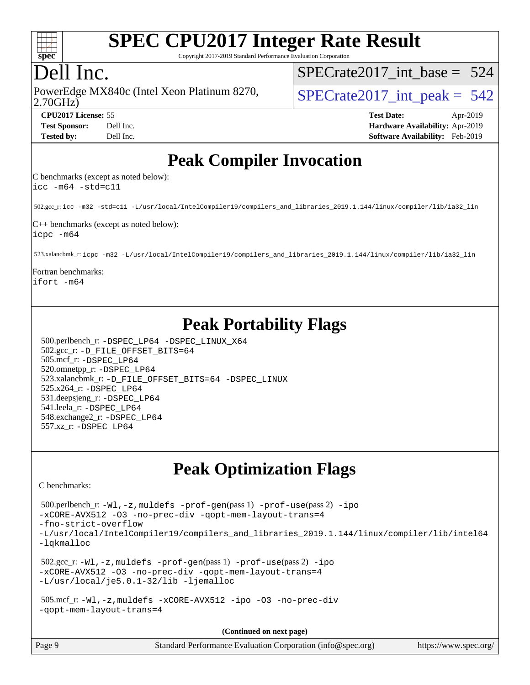

Copyright 2017-2019 Standard Performance Evaluation Corporation

### Dell Inc.

2.70GHz) PowerEdge MX840c (Intel Xeon Platinum 8270,  $\vert$  [SPECrate2017\\_int\\_peak =](http://www.spec.org/auto/cpu2017/Docs/result-fields.html#SPECrate2017intpeak) 542

[SPECrate2017\\_int\\_base =](http://www.spec.org/auto/cpu2017/Docs/result-fields.html#SPECrate2017intbase) 524

**[CPU2017 License:](http://www.spec.org/auto/cpu2017/Docs/result-fields.html#CPU2017License)** 55 **[Test Date:](http://www.spec.org/auto/cpu2017/Docs/result-fields.html#TestDate)** Apr-2019 **[Test Sponsor:](http://www.spec.org/auto/cpu2017/Docs/result-fields.html#TestSponsor)** Dell Inc. **[Hardware Availability:](http://www.spec.org/auto/cpu2017/Docs/result-fields.html#HardwareAvailability)** Apr-2019 **[Tested by:](http://www.spec.org/auto/cpu2017/Docs/result-fields.html#Testedby)** Dell Inc. **[Software Availability:](http://www.spec.org/auto/cpu2017/Docs/result-fields.html#SoftwareAvailability)** Feb-2019

### **[Peak Compiler Invocation](http://www.spec.org/auto/cpu2017/Docs/result-fields.html#PeakCompilerInvocation)**

[C benchmarks \(except as noted below\):](http://www.spec.org/auto/cpu2017/Docs/result-fields.html#Cbenchmarksexceptasnotedbelow) [icc -m64 -std=c11](http://www.spec.org/cpu2017/results/res2019q3/cpu2017-20190624-15376.flags.html#user_CCpeak_intel_icc_64bit_c11_33ee0cdaae7deeeab2a9725423ba97205ce30f63b9926c2519791662299b76a0318f32ddfffdc46587804de3178b4f9328c46fa7c2b0cd779d7a61945c91cd35)

502.gcc\_r: [icc -m32 -std=c11 -L/usr/local/IntelCompiler19/compilers\\_and\\_libraries\\_2019.1.144/linux/compiler/lib/ia32\\_lin](http://www.spec.org/cpu2017/results/res2019q3/cpu2017-20190624-15376.flags.html#user_peakCCLD502_gcc_r_intel_icc_40453ff6bf9521e1d4c2d3e2fb99253a88fa516366d57fe908127cec2d2803e1a519020f7199618d366f5331d17d60a40bdca38a56a807895183dcecb671b0e5)

[C++ benchmarks \(except as noted below\):](http://www.spec.org/auto/cpu2017/Docs/result-fields.html#CXXbenchmarksexceptasnotedbelow) [icpc -m64](http://www.spec.org/cpu2017/results/res2019q3/cpu2017-20190624-15376.flags.html#user_CXXpeak_intel_icpc_64bit_4ecb2543ae3f1412ef961e0650ca070fec7b7afdcd6ed48761b84423119d1bf6bdf5cad15b44d48e7256388bc77273b966e5eb805aefd121eb22e9299b2ec9d9)

523.xalancbmk\_r: [icpc -m32 -L/usr/local/IntelCompiler19/compilers\\_and\\_libraries\\_2019.1.144/linux/compiler/lib/ia32\\_lin](http://www.spec.org/cpu2017/results/res2019q3/cpu2017-20190624-15376.flags.html#user_peakCXXLD523_xalancbmk_r_intel_icpc_da1545662a59c569b62a27824af614167f9a0289efc0155d279b219af3bd2ccb3c10a77eb36bcb264d681e48d9166bbcec9d21ef2c85e5a63a687a8887ddded7)

[Fortran benchmarks](http://www.spec.org/auto/cpu2017/Docs/result-fields.html#Fortranbenchmarks): [ifort -m64](http://www.spec.org/cpu2017/results/res2019q3/cpu2017-20190624-15376.flags.html#user_FCpeak_intel_ifort_64bit_24f2bb282fbaeffd6157abe4f878425411749daecae9a33200eee2bee2fe76f3b89351d69a8130dd5949958ce389cf37ff59a95e7a40d588e8d3a57e0c3fd751)

### **[Peak Portability Flags](http://www.spec.org/auto/cpu2017/Docs/result-fields.html#PeakPortabilityFlags)**

 500.perlbench\_r: [-DSPEC\\_LP64](http://www.spec.org/cpu2017/results/res2019q3/cpu2017-20190624-15376.flags.html#b500.perlbench_r_peakPORTABILITY_DSPEC_LP64) [-DSPEC\\_LINUX\\_X64](http://www.spec.org/cpu2017/results/res2019q3/cpu2017-20190624-15376.flags.html#b500.perlbench_r_peakCPORTABILITY_DSPEC_LINUX_X64) 502.gcc\_r: [-D\\_FILE\\_OFFSET\\_BITS=64](http://www.spec.org/cpu2017/results/res2019q3/cpu2017-20190624-15376.flags.html#user_peakPORTABILITY502_gcc_r_file_offset_bits_64_5ae949a99b284ddf4e95728d47cb0843d81b2eb0e18bdfe74bbf0f61d0b064f4bda2f10ea5eb90e1dcab0e84dbc592acfc5018bc955c18609f94ddb8d550002c) 505.mcf\_r: [-DSPEC\\_LP64](http://www.spec.org/cpu2017/results/res2019q3/cpu2017-20190624-15376.flags.html#suite_peakPORTABILITY505_mcf_r_DSPEC_LP64) 520.omnetpp\_r: [-DSPEC\\_LP64](http://www.spec.org/cpu2017/results/res2019q3/cpu2017-20190624-15376.flags.html#suite_peakPORTABILITY520_omnetpp_r_DSPEC_LP64) 523.xalancbmk\_r: [-D\\_FILE\\_OFFSET\\_BITS=64](http://www.spec.org/cpu2017/results/res2019q3/cpu2017-20190624-15376.flags.html#user_peakPORTABILITY523_xalancbmk_r_file_offset_bits_64_5ae949a99b284ddf4e95728d47cb0843d81b2eb0e18bdfe74bbf0f61d0b064f4bda2f10ea5eb90e1dcab0e84dbc592acfc5018bc955c18609f94ddb8d550002c) [-DSPEC\\_LINUX](http://www.spec.org/cpu2017/results/res2019q3/cpu2017-20190624-15376.flags.html#b523.xalancbmk_r_peakCXXPORTABILITY_DSPEC_LINUX) 525.x264\_r: [-DSPEC\\_LP64](http://www.spec.org/cpu2017/results/res2019q3/cpu2017-20190624-15376.flags.html#suite_peakPORTABILITY525_x264_r_DSPEC_LP64) 531.deepsjeng\_r: [-DSPEC\\_LP64](http://www.spec.org/cpu2017/results/res2019q3/cpu2017-20190624-15376.flags.html#suite_peakPORTABILITY531_deepsjeng_r_DSPEC_LP64) 541.leela\_r: [-DSPEC\\_LP64](http://www.spec.org/cpu2017/results/res2019q3/cpu2017-20190624-15376.flags.html#suite_peakPORTABILITY541_leela_r_DSPEC_LP64) 548.exchange2\_r: [-DSPEC\\_LP64](http://www.spec.org/cpu2017/results/res2019q3/cpu2017-20190624-15376.flags.html#suite_peakPORTABILITY548_exchange2_r_DSPEC_LP64) 557.xz\_r: [-DSPEC\\_LP64](http://www.spec.org/cpu2017/results/res2019q3/cpu2017-20190624-15376.flags.html#suite_peakPORTABILITY557_xz_r_DSPEC_LP64)

### **[Peak Optimization Flags](http://www.spec.org/auto/cpu2017/Docs/result-fields.html#PeakOptimizationFlags)**

[C benchmarks](http://www.spec.org/auto/cpu2017/Docs/result-fields.html#Cbenchmarks):

```
 500.perlbench_r: -Wl,-z,muldefs -prof-gen(pass 1) -prof-use(pass 2) -ipo
-xCORE-AVX512 -O3 -no-prec-div -qopt-mem-layout-trans=4
-fno-strict-overflow
-L/usr/local/IntelCompiler19/compilers_and_libraries_2019.1.144/linux/compiler/lib/intel64
-lqkmalloc
 502.gcc_r: -Wl,-z,muldefs -prof-gen(pass 1) -prof-use(pass 2) -ipo
-xCORE-AVX512 -O3 -no-prec-div -qopt-mem-layout-trans=4
-L/usr/local/je5.0.1-32/lib -ljemalloc
 505.mcf_r: -Wl,-z,muldefs -xCORE-AVX512 -ipo -O3 -no-prec-div
-qopt-mem-layout-trans=4
```
**(Continued on next page)**

| Page 9 | Standard Performance Evaluation Corporation (info@spec.org) | https://www.spec.org/ |
|--------|-------------------------------------------------------------|-----------------------|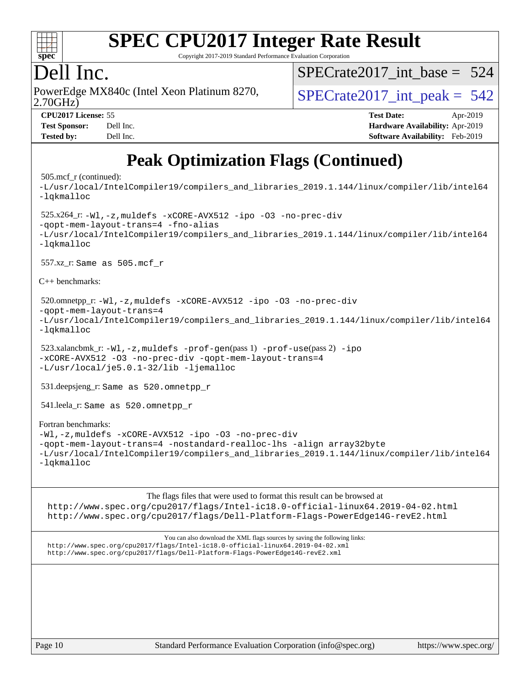

Copyright 2017-2019 Standard Performance Evaluation Corporation

### Dell Inc.

2.70GHz) PowerEdge MX840c (Intel Xeon Platinum 8270,  $\vert$  [SPECrate2017\\_int\\_peak =](http://www.spec.org/auto/cpu2017/Docs/result-fields.html#SPECrate2017intpeak) 542

[SPECrate2017\\_int\\_base =](http://www.spec.org/auto/cpu2017/Docs/result-fields.html#SPECrate2017intbase) 524

| <b>Test Sponsor:</b> | Dell Inc. |
|----------------------|-----------|
| <b>Tested by:</b>    | Dell Inc. |

**[CPU2017 License:](http://www.spec.org/auto/cpu2017/Docs/result-fields.html#CPU2017License)** 55 **[Test Date:](http://www.spec.org/auto/cpu2017/Docs/result-fields.html#TestDate)** Apr-2019 **[Hardware Availability:](http://www.spec.org/auto/cpu2017/Docs/result-fields.html#HardwareAvailability)** Apr-2019 **[Software Availability:](http://www.spec.org/auto/cpu2017/Docs/result-fields.html#SoftwareAvailability)** Feb-2019

## **[Peak Optimization Flags \(Continued\)](http://www.spec.org/auto/cpu2017/Docs/result-fields.html#PeakOptimizationFlags)**

#### 505.mcf\_r (continued):

[-L/usr/local/IntelCompiler19/compilers\\_and\\_libraries\\_2019.1.144/linux/compiler/lib/intel64](http://www.spec.org/cpu2017/results/res2019q3/cpu2017-20190624-15376.flags.html#user_peakEXTRA_LIBS505_mcf_r_qkmalloc_link_f25da0aa8cf9bced0533715046f0c2fbfb1a7191e3e496916672e09b4c388a884c4c7e4862cb529343da2264b43416df65c99fd1ddbf5dd13ae6d3130cf47881) [-lqkmalloc](http://www.spec.org/cpu2017/results/res2019q3/cpu2017-20190624-15376.flags.html#user_peakEXTRA_LIBS505_mcf_r_qkmalloc_link_lib_79a818439969f771c6bc311cfd333c00fc099dad35c030f5aab9dda831713d2015205805422f83de8875488a2991c0a156aaa600e1f9138f8fc37004abc96dc5) 525.x264\_r: [-Wl,-z,muldefs](http://www.spec.org/cpu2017/results/res2019q3/cpu2017-20190624-15376.flags.html#user_peakEXTRA_LDFLAGS525_x264_r_link_force_multiple1_b4cbdb97b34bdee9ceefcfe54f4c8ea74255f0b02a4b23e853cdb0e18eb4525ac79b5a88067c842dd0ee6996c24547a27a4b99331201badda8798ef8a743f577) [-xCORE-AVX512](http://www.spec.org/cpu2017/results/res2019q3/cpu2017-20190624-15376.flags.html#user_peakCOPTIMIZE525_x264_r_f-xCORE-AVX512) [-ipo](http://www.spec.org/cpu2017/results/res2019q3/cpu2017-20190624-15376.flags.html#user_peakCOPTIMIZE525_x264_r_f-ipo) [-O3](http://www.spec.org/cpu2017/results/res2019q3/cpu2017-20190624-15376.flags.html#user_peakCOPTIMIZE525_x264_r_f-O3) [-no-prec-div](http://www.spec.org/cpu2017/results/res2019q3/cpu2017-20190624-15376.flags.html#user_peakCOPTIMIZE525_x264_r_f-no-prec-div) [-qopt-mem-layout-trans=4](http://www.spec.org/cpu2017/results/res2019q3/cpu2017-20190624-15376.flags.html#user_peakCOPTIMIZE525_x264_r_f-qopt-mem-layout-trans_fa39e755916c150a61361b7846f310bcdf6f04e385ef281cadf3647acec3f0ae266d1a1d22d972a7087a248fd4e6ca390a3634700869573d231a252c784941a8) [-fno-alias](http://www.spec.org/cpu2017/results/res2019q3/cpu2017-20190624-15376.flags.html#user_peakEXTRA_OPTIMIZE525_x264_r_f-no-alias_77dbac10d91cbfe898fbf4a29d1b29b694089caa623bdd1baccc9957d4edbe8d106c0b357e2748a65b44fc9e83d78098bb898077f3fe92f9faf24f7bd4a07ed7) [-L/usr/local/IntelCompiler19/compilers\\_and\\_libraries\\_2019.1.144/linux/compiler/lib/intel64](http://www.spec.org/cpu2017/results/res2019q3/cpu2017-20190624-15376.flags.html#user_peakEXTRA_LIBS525_x264_r_qkmalloc_link_f25da0aa8cf9bced0533715046f0c2fbfb1a7191e3e496916672e09b4c388a884c4c7e4862cb529343da2264b43416df65c99fd1ddbf5dd13ae6d3130cf47881) [-lqkmalloc](http://www.spec.org/cpu2017/results/res2019q3/cpu2017-20190624-15376.flags.html#user_peakEXTRA_LIBS525_x264_r_qkmalloc_link_lib_79a818439969f771c6bc311cfd333c00fc099dad35c030f5aab9dda831713d2015205805422f83de8875488a2991c0a156aaa600e1f9138f8fc37004abc96dc5) 557.xz\_r: Same as 505.mcf\_r [C++ benchmarks:](http://www.spec.org/auto/cpu2017/Docs/result-fields.html#CXXbenchmarks) 520.omnetpp\_r: [-Wl,-z,muldefs](http://www.spec.org/cpu2017/results/res2019q3/cpu2017-20190624-15376.flags.html#user_peakEXTRA_LDFLAGS520_omnetpp_r_link_force_multiple1_b4cbdb97b34bdee9ceefcfe54f4c8ea74255f0b02a4b23e853cdb0e18eb4525ac79b5a88067c842dd0ee6996c24547a27a4b99331201badda8798ef8a743f577) [-xCORE-AVX512](http://www.spec.org/cpu2017/results/res2019q3/cpu2017-20190624-15376.flags.html#user_peakCXXOPTIMIZE520_omnetpp_r_f-xCORE-AVX512) [-ipo](http://www.spec.org/cpu2017/results/res2019q3/cpu2017-20190624-15376.flags.html#user_peakCXXOPTIMIZE520_omnetpp_r_f-ipo) [-O3](http://www.spec.org/cpu2017/results/res2019q3/cpu2017-20190624-15376.flags.html#user_peakCXXOPTIMIZE520_omnetpp_r_f-O3) [-no-prec-div](http://www.spec.org/cpu2017/results/res2019q3/cpu2017-20190624-15376.flags.html#user_peakCXXOPTIMIZE520_omnetpp_r_f-no-prec-div) [-qopt-mem-layout-trans=4](http://www.spec.org/cpu2017/results/res2019q3/cpu2017-20190624-15376.flags.html#user_peakCXXOPTIMIZE520_omnetpp_r_f-qopt-mem-layout-trans_fa39e755916c150a61361b7846f310bcdf6f04e385ef281cadf3647acec3f0ae266d1a1d22d972a7087a248fd4e6ca390a3634700869573d231a252c784941a8) [-L/usr/local/IntelCompiler19/compilers\\_and\\_libraries\\_2019.1.144/linux/compiler/lib/intel64](http://www.spec.org/cpu2017/results/res2019q3/cpu2017-20190624-15376.flags.html#user_peakEXTRA_LIBS520_omnetpp_r_qkmalloc_link_f25da0aa8cf9bced0533715046f0c2fbfb1a7191e3e496916672e09b4c388a884c4c7e4862cb529343da2264b43416df65c99fd1ddbf5dd13ae6d3130cf47881) [-lqkmalloc](http://www.spec.org/cpu2017/results/res2019q3/cpu2017-20190624-15376.flags.html#user_peakEXTRA_LIBS520_omnetpp_r_qkmalloc_link_lib_79a818439969f771c6bc311cfd333c00fc099dad35c030f5aab9dda831713d2015205805422f83de8875488a2991c0a156aaa600e1f9138f8fc37004abc96dc5) 523.xalancbmk\_r:  $-W1$ ,  $-z$ , muldefs  $-prof-qen(pass 1)$   $-prof-use(pass 2) -ipo$  $-prof-use(pass 2) -ipo$  $-prof-use(pass 2) -ipo$ [-xCORE-AVX512](http://www.spec.org/cpu2017/results/res2019q3/cpu2017-20190624-15376.flags.html#user_peakPASS2_CXXOPTIMIZE523_xalancbmk_r_f-xCORE-AVX512) [-O3](http://www.spec.org/cpu2017/results/res2019q3/cpu2017-20190624-15376.flags.html#user_peakPASS1_CXXOPTIMIZEPASS2_CXXOPTIMIZE523_xalancbmk_r_f-O3) [-no-prec-div](http://www.spec.org/cpu2017/results/res2019q3/cpu2017-20190624-15376.flags.html#user_peakPASS1_CXXOPTIMIZEPASS2_CXXOPTIMIZE523_xalancbmk_r_f-no-prec-div) [-qopt-mem-layout-trans=4](http://www.spec.org/cpu2017/results/res2019q3/cpu2017-20190624-15376.flags.html#user_peakPASS1_CXXOPTIMIZEPASS2_CXXOPTIMIZE523_xalancbmk_r_f-qopt-mem-layout-trans_fa39e755916c150a61361b7846f310bcdf6f04e385ef281cadf3647acec3f0ae266d1a1d22d972a7087a248fd4e6ca390a3634700869573d231a252c784941a8) [-L/usr/local/je5.0.1-32/lib](http://www.spec.org/cpu2017/results/res2019q3/cpu2017-20190624-15376.flags.html#user_peakEXTRA_LIBS523_xalancbmk_r_jemalloc_link_path32_e29f22e8e6c17053bbc6a0971f5a9c01a601a06bb1a59df2084b77a2fe0a2995b64fd4256feaeea39eeba3aae142e96e2b2b0a28974019c0c0c88139a84f900a) [-ljemalloc](http://www.spec.org/cpu2017/results/res2019q3/cpu2017-20190624-15376.flags.html#user_peakEXTRA_LIBS523_xalancbmk_r_jemalloc_link_lib_d1249b907c500fa1c0672f44f562e3d0f79738ae9e3c4a9c376d49f265a04b9c99b167ecedbf6711b3085be911c67ff61f150a17b3472be731631ba4d0471706) 531.deepsjeng\_r: Same as 520.omnetpp\_r 541.leela\_r: Same as 520.omnetpp\_r [Fortran benchmarks:](http://www.spec.org/auto/cpu2017/Docs/result-fields.html#Fortranbenchmarks) [-Wl,-z,muldefs](http://www.spec.org/cpu2017/results/res2019q3/cpu2017-20190624-15376.flags.html#user_FCpeak_link_force_multiple1_b4cbdb97b34bdee9ceefcfe54f4c8ea74255f0b02a4b23e853cdb0e18eb4525ac79b5a88067c842dd0ee6996c24547a27a4b99331201badda8798ef8a743f577) [-xCORE-AVX512](http://www.spec.org/cpu2017/results/res2019q3/cpu2017-20190624-15376.flags.html#user_FCpeak_f-xCORE-AVX512) [-ipo](http://www.spec.org/cpu2017/results/res2019q3/cpu2017-20190624-15376.flags.html#user_FCpeak_f-ipo) [-O3](http://www.spec.org/cpu2017/results/res2019q3/cpu2017-20190624-15376.flags.html#user_FCpeak_f-O3) [-no-prec-div](http://www.spec.org/cpu2017/results/res2019q3/cpu2017-20190624-15376.flags.html#user_FCpeak_f-no-prec-div) [-qopt-mem-layout-trans=4](http://www.spec.org/cpu2017/results/res2019q3/cpu2017-20190624-15376.flags.html#user_FCpeak_f-qopt-mem-layout-trans_fa39e755916c150a61361b7846f310bcdf6f04e385ef281cadf3647acec3f0ae266d1a1d22d972a7087a248fd4e6ca390a3634700869573d231a252c784941a8) [-nostandard-realloc-lhs](http://www.spec.org/cpu2017/results/res2019q3/cpu2017-20190624-15376.flags.html#user_FCpeak_f_2003_std_realloc_82b4557e90729c0f113870c07e44d33d6f5a304b4f63d4c15d2d0f1fab99f5daaed73bdb9275d9ae411527f28b936061aa8b9c8f2d63842963b95c9dd6426b8a) [-align array32byte](http://www.spec.org/cpu2017/results/res2019q3/cpu2017-20190624-15376.flags.html#user_FCpeak_align_array32byte_b982fe038af199962ba9a80c053b8342c548c85b40b8e86eb3cc33dee0d7986a4af373ac2d51c3f7cf710a18d62fdce2948f201cd044323541f22fc0fffc51b6) [-L/usr/local/IntelCompiler19/compilers\\_and\\_libraries\\_2019.1.144/linux/compiler/lib/intel64](http://www.spec.org/cpu2017/results/res2019q3/cpu2017-20190624-15376.flags.html#user_FCpeak_qkmalloc_link_f25da0aa8cf9bced0533715046f0c2fbfb1a7191e3e496916672e09b4c388a884c4c7e4862cb529343da2264b43416df65c99fd1ddbf5dd13ae6d3130cf47881) [-lqkmalloc](http://www.spec.org/cpu2017/results/res2019q3/cpu2017-20190624-15376.flags.html#user_FCpeak_qkmalloc_link_lib_79a818439969f771c6bc311cfd333c00fc099dad35c030f5aab9dda831713d2015205805422f83de8875488a2991c0a156aaa600e1f9138f8fc37004abc96dc5)

The flags files that were used to format this result can be browsed at

<http://www.spec.org/cpu2017/flags/Intel-ic18.0-official-linux64.2019-04-02.html> <http://www.spec.org/cpu2017/flags/Dell-Platform-Flags-PowerEdge14G-revE2.html>

You can also download the XML flags sources by saving the following links: <http://www.spec.org/cpu2017/flags/Intel-ic18.0-official-linux64.2019-04-02.xml> <http://www.spec.org/cpu2017/flags/Dell-Platform-Flags-PowerEdge14G-revE2.xml>